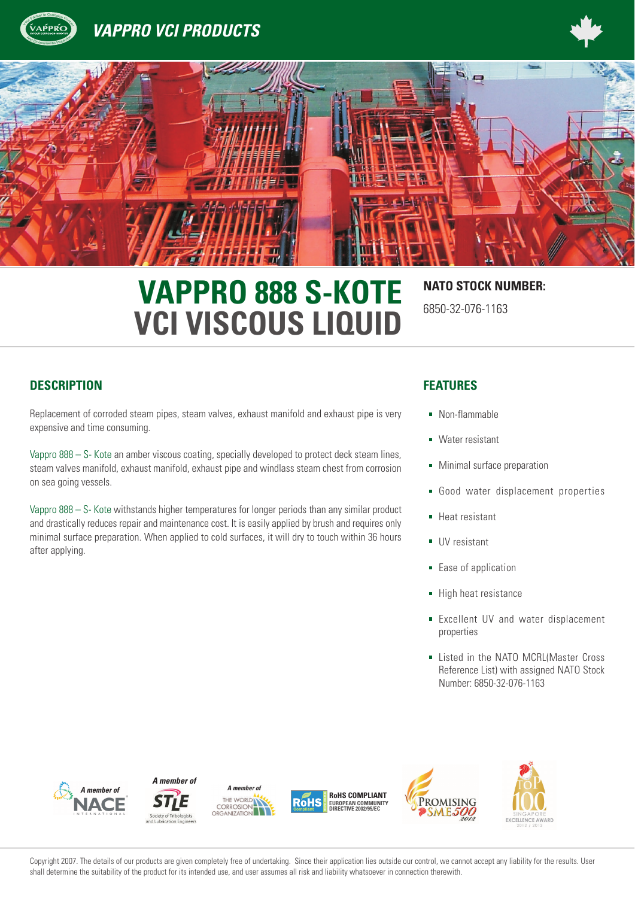





# **VAPPRO 888 S-KOTE NATO STOCK NUMBER: VCI VISCOUS LIQUID**

# 6850-32-076-1163

### **DESCRIPTION FEATURES**

<sup>A</sup><sup>n</sup><sup>d</sup> <sup>E</sup>nvironmenta<sup>l</sup> <sup>P</sup>rotectio<sup>n</sup>

Replacement of corroded steam pipes, steam valves, exhaust manifold and exhaust pipe is very expensive and time consuming.

Vappro 888 – S- Kote an amber viscous coating, specially developed to protect deck steam lines, steam valves manifold, exhaust manifold, exhaust pipe and windlass steam chest from corrosion on sea going vessels.

Vappro  $888 - S$ - Kote withstands higher temperatures for longer periods than any similar product and drastically reduces repair and maintenance cost. It is easily applied by brush and requires only minimal surface preparation. When applied to cold surfaces, it will dry to touch within 36 hours after applying.

- Non-flammable
- **Water resistant**
- **Minimal surface preparation**
- Good water displacement properties
- **Heat resistant**
- UV resistant
- **Ease of application**
- High heat resistance
- **Excellent UV and water displacement** properties
- **Example 1** Listed in the NATO MCRL(Master Cross Reference List) with assigned NATO Stock Number: 6850-32-076-1163









**RoHS COMPLIANT** RAH **EUROPEAN COMMUNITY DIRECTIVE 2002/95/EC**





Copyright 2007. The details of our products are given completely free of undertaking. Since their application lies outside our control, we cannot accept any liability for the results. User shall determine the suitability of the product for its intended use, and user assumes all risk and liability whatsoever in connection therewith.